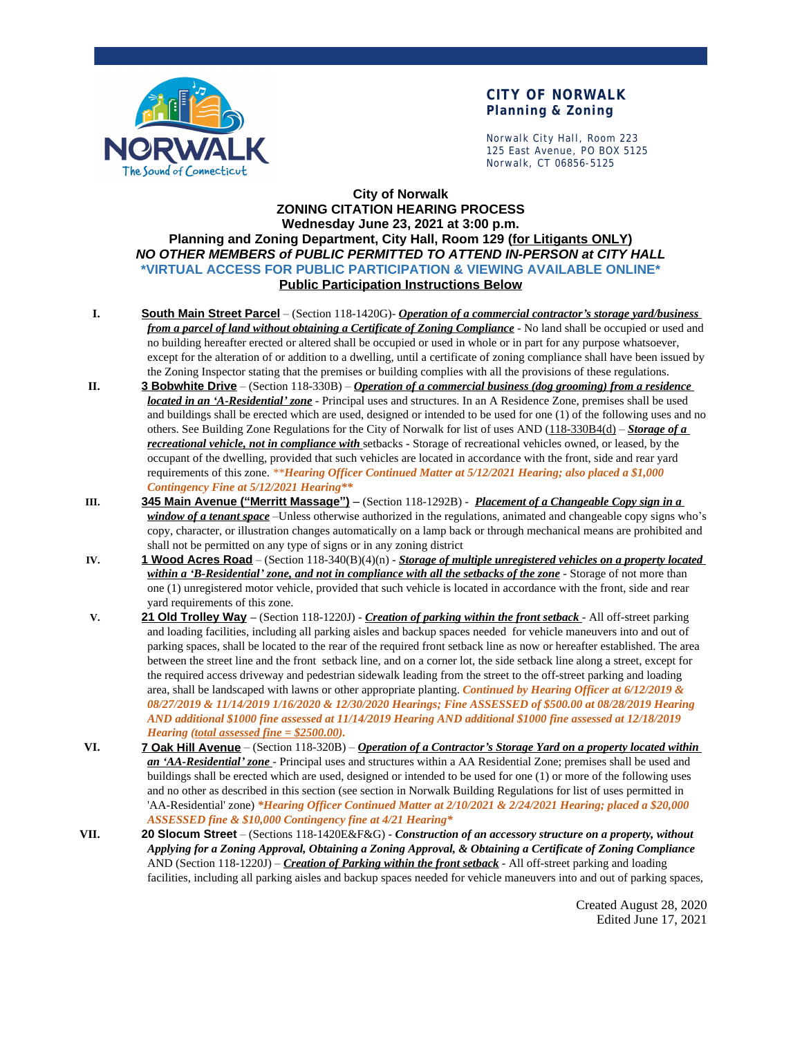

## **CITY OF NORWALK Planning & Zoning**

Norwalk City Hall, Room 223 125 East Avenue, PO BOX 5125 Norwalk, CT 06856-5125

### **City of Norwalk ZONING CITATION HEARING PROCESS Wednesday June 23, 2021 at 3:00 p.m. Planning and Zoning Department, City Hall, Room 129 (for Litigants ONLY)** *NO OTHER MEMBERS of PUBLIC PERMITTED TO ATTEND IN-PERSON at CITY HALL* **\*VIRTUAL ACCESS FOR PUBLIC PARTICIPATION & VIEWING AVAILABLE ONLINE\* Public Participation Instructions Below**

- **I. South Main Street Parcel** (Section 118-1420G)- *Operation of a commercial contractor's storage yard/business from a parcel of land without obtaining a Certificate of Zoning Compliance* - No land shall be occupied or used and no building hereafter erected or altered shall be occupied or used in whole or in part for any purpose whatsoever, except for the alteration of or addition to a dwelling, until a certificate of zoning compliance shall have been issued by the Zoning Inspector stating that the premises or building complies with all the provisions of these regulations.
- **II. 3 Bobwhite Drive** (Section 118-330B) *Operation of a commercial business (dog grooming) from a residence located in an 'A-Residential' zone* - Principal uses and structures. In an A Residence Zone, premises shall be used and buildings shall be erected which are used, designed or intended to be used for one (1) of the following uses and no others. See Building Zone Regulations for the City of Norwalk for list of uses AND (118-330B4(d) – *Storage of a recreational vehicle, not in compliance with* setbacks - Storage of recreational vehicles owned, or leased, by the occupant of the dwelling, provided that such vehicles are located in accordance with the front, side and rear yard requirements of this zone. *\*\*Hearing Officer Continued Matter at 5/12/2021 Hearing; also placed a \$1,000 Contingency Fine at 5/12/2021 Hearing\*\**
- **III. 345 Main Avenue ("Merritt Massage")** (Section 118-1292B) *Placement of a Changeable Copy sign in a window of a tenant space* –Unless otherwise authorized in the regulations, animated and changeable copy signs who's copy, character, or illustration changes automatically on a lamp back or through mechanical means are prohibited and shall not be permitted on any type of signs or in any zoning district
- **IV. 1 Wood Acres Road** (Section 118-340(B)(4)(n) *Storage of multiple unregistered vehicles on a property located within a 'B-Residential' zone, and not in compliance with all the setbacks of the zone* - Storage of not more than one (1) unregistered motor vehicle, provided that such vehicle is located in accordance with the front, side and rear yard requirements of this zone.
- **V. 21 Old Trolley Way –** (Section 118-1220J) *Creation of parking within the front setback* All off-street parking and loading facilities, including all parking aisles and backup spaces needed for vehicle maneuvers into and out of parking spaces, shall be located to the rear of the required front setback line as now or hereafter established. The area between the street line and the front setback line, and on a corner lot, the side setback line along a street, except for the required access driveway and pedestrian sidewalk leading from the street to the off-street parking and loading area, shall be landscaped with lawns or other appropriate planting. *Continued by Hearing Officer at 6/12/2019 & 08/27/2019 & 11/14/2019 1/16/2020 & 12/30/2020 Hearings; Fine ASSESSED of \$500.00 at 08/28/2019 Hearing AND additional \$1000 fine assessed at 11/14/2019 Hearing AND additional \$1000 fine assessed at 12/18/2019 Hearing (total assessed fine = \$2500.00).*
- **VI. 7 Oak Hill Avenue** (Section 118-320B) *Operation of a Contractor's Storage Yard on a property located within an 'AA-Residential' zone* - Principal uses and structures within a AA Residential Zone; premises shall be used and buildings shall be erected which are used, designed or intended to be used for one (1) or more of the following uses and no other as described in this section (see section in Norwalk Building Regulations for list of uses permitted in 'AA-Residential' zone) *\*Hearing Officer Continued Matter at 2/10/2021 & 2/24/2021 Hearing; placed a \$20,000 ASSESSED fine & \$10,000 Contingency fine at 4/21 Hearing\**
- **VII. 20 Slocum Street** (Sections 118-1420E&F&G) *Construction of an accessory structure on a property, without Applying for a Zoning Approval, Obtaining a Zoning Approval, & Obtaining a Certificate of Zoning Compliance* AND (Section 118-1220J) – *Creation of Parking within the front setback* - All off-street parking and loading facilities, including all parking aisles and backup spaces needed for vehicle maneuvers into and out of parking spaces,

Created August 28, 2020 Edited June 17, 2021